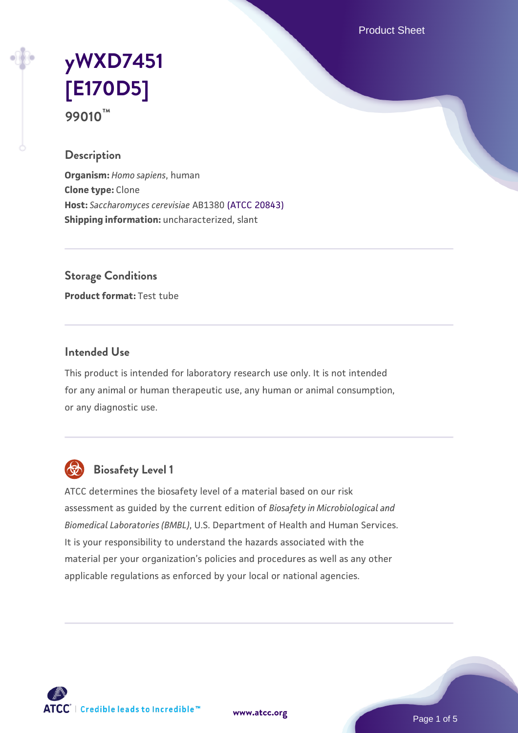Product Sheet

# **[yWXD7451](https://www.atcc.org/products/99010) [\[E170D5\]](https://www.atcc.org/products/99010) 99010™**

### **Description**

**Organism:** *Homo sapiens*, human **Clone type:** Clone **Host:** *Saccharomyces cerevisiae* AB1380 [\(ATCC 20843\)](https://www.atcc.org/products/20843) **Shipping information:** uncharacterized, slant

**Storage Conditions**

**Product format:** Test tube

### **Intended Use**

This product is intended for laboratory research use only. It is not intended for any animal or human therapeutic use, any human or animal consumption, or any diagnostic use.



## **Biosafety Level 1**

ATCC determines the biosafety level of a material based on our risk assessment as guided by the current edition of *Biosafety in Microbiological and Biomedical Laboratories (BMBL)*, U.S. Department of Health and Human Services. It is your responsibility to understand the hazards associated with the material per your organization's policies and procedures as well as any other applicable regulations as enforced by your local or national agencies.

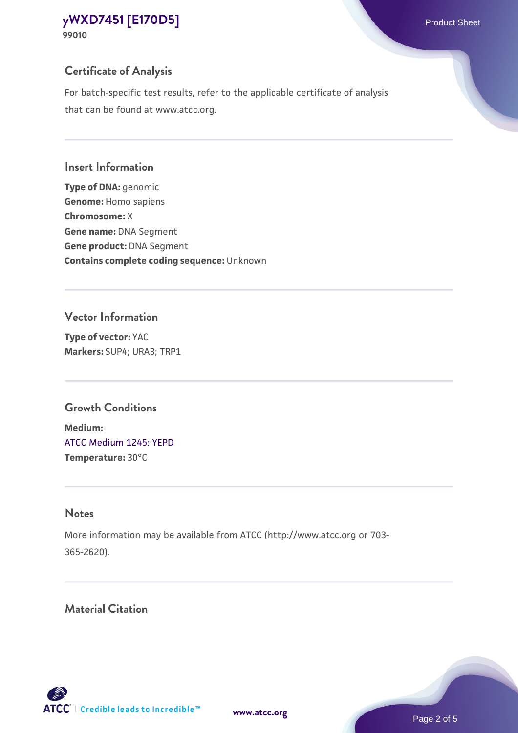## **Certificate of Analysis**

For batch-specific test results, refer to the applicable certificate of analysis that can be found at www.atcc.org.

## **Insert Information**

**Type of DNA:** genomic **Genome:** Homo sapiens **Chromosome:** X **Gene name:** DNA Segment **Gene product:** DNA Segment **Contains complete coding sequence:** Unknown

## **Vector Information**

**Type of vector:** YAC **Markers:** SUP4; URA3; TRP1

## **Growth Conditions**

**Medium:**  [ATCC Medium 1245: YEPD](https://www.atcc.org/-/media/product-assets/documents/microbial-media-formulations/1/2/4/5/atcc-medium-1245.pdf?rev=705ca55d1b6f490a808a965d5c072196) **Temperature:** 30°C

## **Notes**

More information may be available from ATCC (http://www.atcc.org or 703- 365-2620).

## **Material Citation**

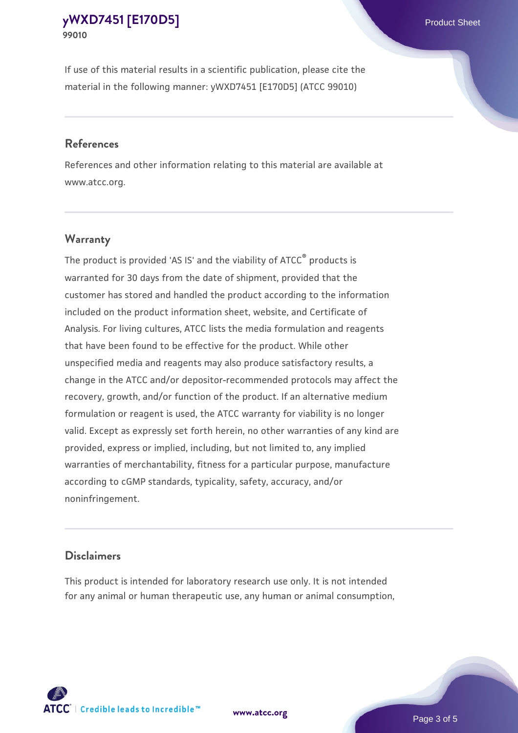If use of this material results in a scientific publication, please cite the material in the following manner: yWXD7451 [E170D5] (ATCC 99010)

#### **References**

References and other information relating to this material are available at www.atcc.org.

### **Warranty**

The product is provided 'AS IS' and the viability of  $ATCC<sup>®</sup>$  products is warranted for 30 days from the date of shipment, provided that the customer has stored and handled the product according to the information included on the product information sheet, website, and Certificate of Analysis. For living cultures, ATCC lists the media formulation and reagents that have been found to be effective for the product. While other unspecified media and reagents may also produce satisfactory results, a change in the ATCC and/or depositor-recommended protocols may affect the recovery, growth, and/or function of the product. If an alternative medium formulation or reagent is used, the ATCC warranty for viability is no longer valid. Except as expressly set forth herein, no other warranties of any kind are provided, express or implied, including, but not limited to, any implied warranties of merchantability, fitness for a particular purpose, manufacture according to cGMP standards, typicality, safety, accuracy, and/or noninfringement.

#### **Disclaimers**

This product is intended for laboratory research use only. It is not intended for any animal or human therapeutic use, any human or animal consumption,



**[www.atcc.org](http://www.atcc.org)**

Page 3 of 5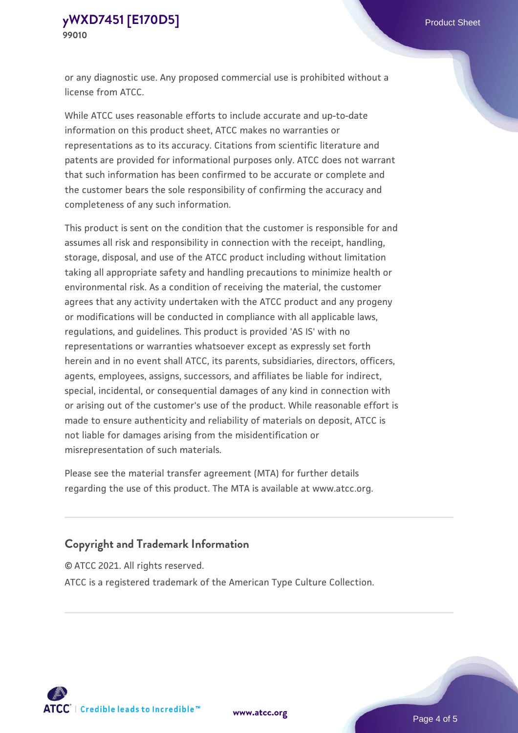or any diagnostic use. Any proposed commercial use is prohibited without a license from ATCC.

While ATCC uses reasonable efforts to include accurate and up-to-date information on this product sheet, ATCC makes no warranties or representations as to its accuracy. Citations from scientific literature and patents are provided for informational purposes only. ATCC does not warrant that such information has been confirmed to be accurate or complete and the customer bears the sole responsibility of confirming the accuracy and completeness of any such information.

This product is sent on the condition that the customer is responsible for and assumes all risk and responsibility in connection with the receipt, handling, storage, disposal, and use of the ATCC product including without limitation taking all appropriate safety and handling precautions to minimize health or environmental risk. As a condition of receiving the material, the customer agrees that any activity undertaken with the ATCC product and any progeny or modifications will be conducted in compliance with all applicable laws, regulations, and guidelines. This product is provided 'AS IS' with no representations or warranties whatsoever except as expressly set forth herein and in no event shall ATCC, its parents, subsidiaries, directors, officers, agents, employees, assigns, successors, and affiliates be liable for indirect, special, incidental, or consequential damages of any kind in connection with or arising out of the customer's use of the product. While reasonable effort is made to ensure authenticity and reliability of materials on deposit, ATCC is not liable for damages arising from the misidentification or misrepresentation of such materials.

Please see the material transfer agreement (MTA) for further details regarding the use of this product. The MTA is available at www.atcc.org.

#### **Copyright and Trademark Information**

© ATCC 2021. All rights reserved.

ATCC is a registered trademark of the American Type Culture Collection.



**[www.atcc.org](http://www.atcc.org)**